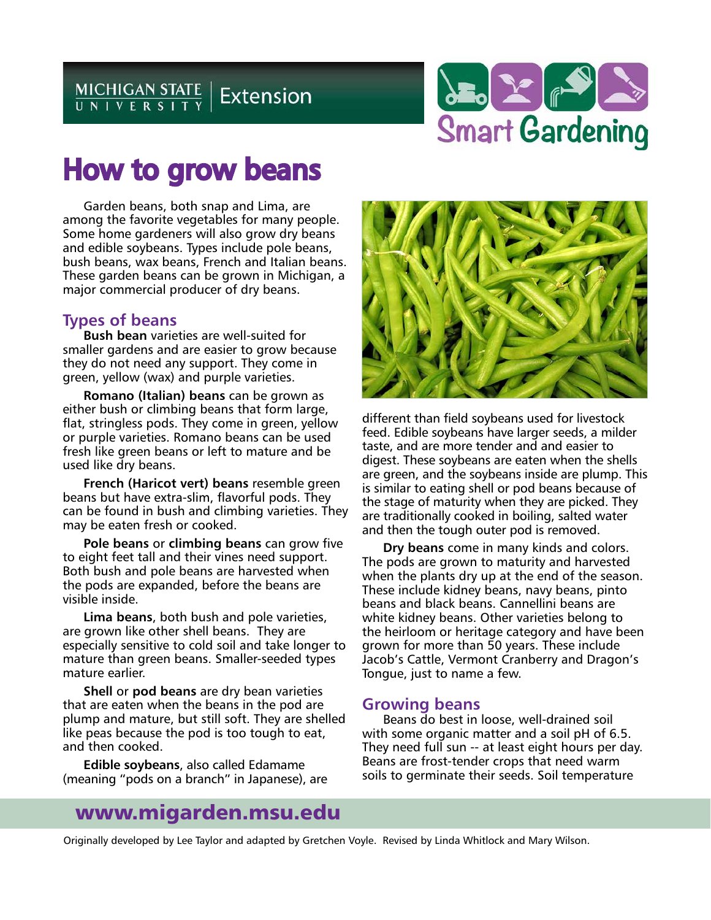

# How to grow beans

Garden beans, both snap and Lima, are among the favorite vegetables for many people. Some home gardeners will also grow dry beans and edible soybeans. Types include pole beans, bush beans, wax beans, French and Italian beans. These garden beans can be grown in Michigan, a major commercial producer of dry beans.

## **Types of beans**

**Bush bean** varieties are well-suited for smaller gardens and are easier to grow because they do not need any support. They come in green, yellow (wax) and purple varieties.

**Romano (Italian) beans** can be grown as either bush or climbing beans that form large, flat, stringless pods. They come in green, yellow or purple varieties. Romano beans can be used fresh like green beans or left to mature and be used like dry beans.

**French (Haricot vert) beans** resemble green beans but have extra-slim, flavorful pods. They can be found in bush and climbing varieties. They may be eaten fresh or cooked.

**Pole beans** or **climbing beans** can grow five to eight feet tall and their vines need support. Both bush and pole beans are harvested when the pods are expanded, before the beans are visible inside.

**Lima beans**, both bush and pole varieties, are grown like other shell beans. They are especially sensitive to cold soil and take longer to mature than green beans. Smaller-seeded types mature earlier.

**Shell** or **pod beans** are dry bean varieties that are eaten when the beans in the pod are plump and mature, but still soft. They are shelled like peas because the pod is too tough to eat, and then cooked.

**Edible soybeans**, also called Edamame (meaning "pods on a branch" in Japanese), are



different than field soybeans used for livestock feed. Edible soybeans have larger seeds, a milder taste, and are more tender and and easier to digest. These soybeans are eaten when the shells are green, and the soybeans inside are plump. This is similar to eating shell or pod beans because of the stage of maturity when they are picked. They are traditionally cooked in boiling, salted water and then the tough outer pod is removed.

**Dry beans** come in many kinds and colors. The pods are grown to maturity and harvested when the plants dry up at the end of the season. These include kidney beans, navy beans, pinto beans and black beans. Cannellini beans are white kidney beans. Other varieties belong to the heirloom or heritage category and have been grown for more than 50 years. These include Jacob's Cattle, Vermont Cranberry and Dragon's Tongue, just to name a few.

### **Growing beans**

Beans do best in loose, well-drained soil with some organic matter and a soil pH of 6.5. They need full sun -- at least eight hours per day. Beans are frost-tender crops that need warm soils to germinate their seeds. Soil temperature

# www.migarden.msu.edu

Originally developed by Lee Taylor and adapted by Gretchen Voyle. Revised by Linda Whitlock and Mary Wilson.